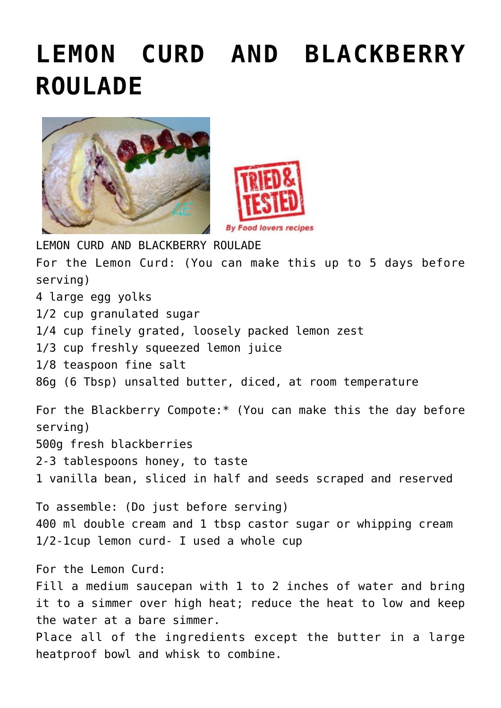## **[LEMON CURD AND BLACKBERRY](https://www.foodloversrecipes.com/2018/08/lemon-curd-and-blackberry-roulade/) [ROULADE](https://www.foodloversrecipes.com/2018/08/lemon-curd-and-blackberry-roulade/)**





LEMON CURD AND BLACKBERRY ROULADE For the Lemon Curd: (You can make this up to 5 days before serving) 4 large egg yolks 1/2 cup granulated sugar 1/4 cup finely grated, loosely packed lemon zest 1/3 cup freshly squeezed lemon juice 1/8 teaspoon fine salt 86g (6 Tbsp) unsalted butter, diced, at room temperature For the Blackberry Compote:\* (You can make this the day before serving) 500g fresh blackberries 2-3 tablespoons honey, to taste 1 vanilla bean, sliced in half and seeds scraped and reserved To assemble: (Do just before serving) 400 ml double cream and 1 tbsp castor sugar or whipping cream 1/2-1cup lemon curd- I used a whole cup For the Lemon Curd: Fill a medium saucepan with 1 to 2 inches of water and bring it to a simmer over high heat; reduce the heat to low and keep the water at a bare simmer. Place all of the ingredients except the butter in a large heatproof bowl and whisk to combine.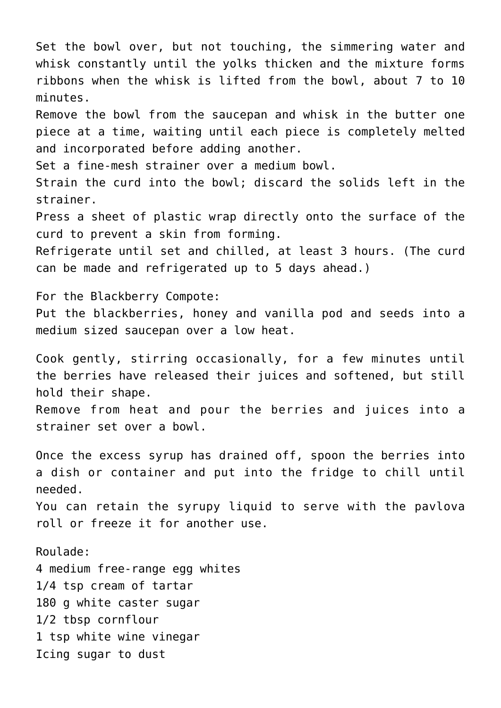Set the bowl over, but not touching, the simmering water and whisk constantly until the yolks thicken and the mixture forms ribbons when the whisk is lifted from the bowl, about 7 to 10 minutes.

Remove the bowl from the saucepan and whisk in the butter one piece at a time, waiting until each piece is completely melted and incorporated before adding another.

Set a fine-mesh strainer over a medium bowl.

Strain the curd into the bowl; discard the solids left in the strainer.

Press a sheet of plastic wrap directly onto the surface of the curd to prevent a skin from forming.

Refrigerate until set and chilled, at least 3 hours. (The curd can be made and refrigerated up to 5 days ahead.)

For the Blackberry Compote:

Put the blackberries, honey and vanilla pod and seeds into a medium sized saucepan over a low heat.

Cook gently, stirring occasionally, for a few minutes until the berries have released their juices and softened, but still hold their shape.

Remove from heat and pour the berries and juices into a strainer set over a bowl.

Once the excess syrup has drained off, spoon the berries into a dish or container and put into the fridge to chill until needed.

You can retain the syrupy liquid to serve with the pavlova roll or freeze it for another use.

Roulade:

4 medium free-range egg whites 1/4 tsp cream of tartar 180 g white caster sugar 1/2 tbsp cornflour 1 tsp white wine vinegar Icing sugar to dust